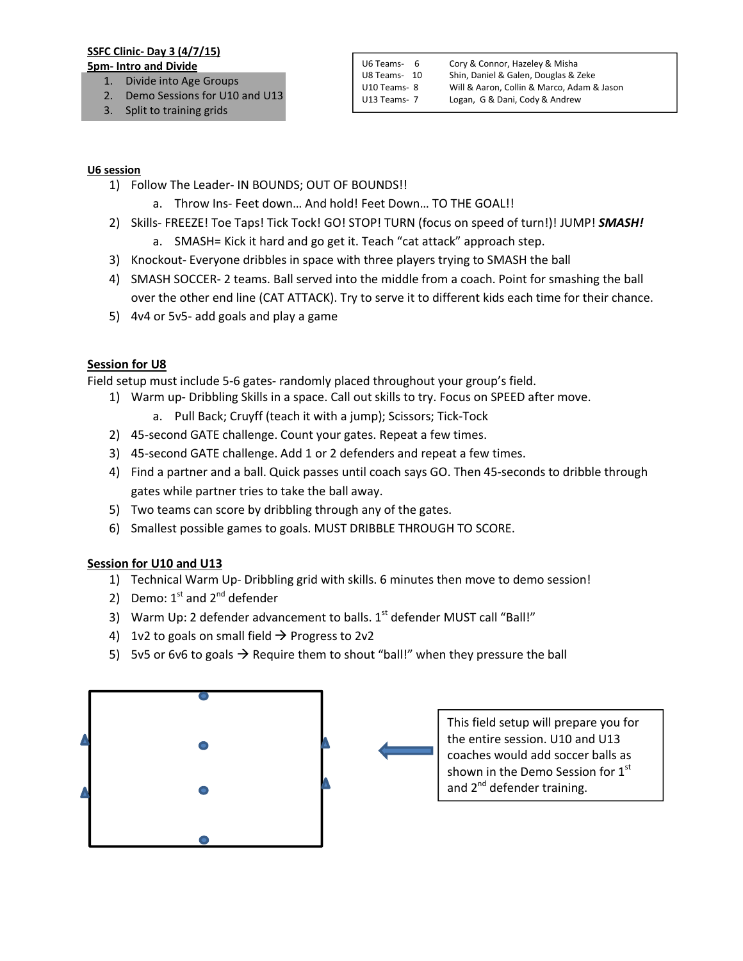## SSFC Clinic- Day 3 (4/7/15)

- 5pm- Intro and Divide 1. Divide into Age Groups
	- 2. Demo Sessions for U10 and U13
	- 3. Split to training grids

#### U6 session

- 1) Follow The Leader- IN BOUNDS; OUT OF BOUNDS!!
	- a. Throw Ins- Feet down… And hold! Feet Down… TO THE GOAL!!
- 2) Skills- FREEZE! Toe Taps! Tick Tock! GO! STOP! TURN (focus on speed of turn!)! JUMP! *SMASH!*
	- a. SMASH= Kick it hard and go get it. Teach "cat attack" approach step.
- 3) Knockout- Everyone dribbles in space with three players trying to SMASH the ball
- 4) SMASH SOCCER- 2 teams. Ball served into the middle from a coach. Point for smashing the ball over the other end line (CAT ATTACK). Try to serve it to different kids each time for their chance.
- 5) 4v4 or 5v5- add goals and play a game

## Session for U8

Field setup must include 5-6 gates- randomly placed throughout your group's field.

- 1) Warm up- Dribbling Skills in a space. Call out skills to try. Focus on SPEED after move.
	- a. Pull Back; Cruyff (teach it with a jump); Scissors; Tick-Tock
- 2) 45-second GATE challenge. Count your gates. Repeat a few times.
- 3) 45-second GATE challenge. Add 1 or 2 defenders and repeat a few times.
- 4) Find a partner and a ball. Quick passes until coach says GO. Then 45-seconds to dribble through gates while partner tries to take the ball away.
- 5) Two teams can score by dribbling through any of the gates.
- 6) Smallest possible games to goals. MUST DRIBBLE THROUGH TO SCORE.

# Session for U10 and U13

- 1) Technical Warm Up- Dribbling grid with skills. 6 minutes then move to demo session!
- 2) Demo:  $1^{st}$  and  $2^{nd}$  defender
- 3) Warm Up: 2 defender advancement to balls.  $1<sup>st</sup>$  defender MUST call "Ball!"
- 4) 1v2 to goals on small field  $\rightarrow$  Progress to 2v2
- 5) 5v5 or 6v6 to goals  $\rightarrow$  Require them to shout "ball!" when they pressure the ball